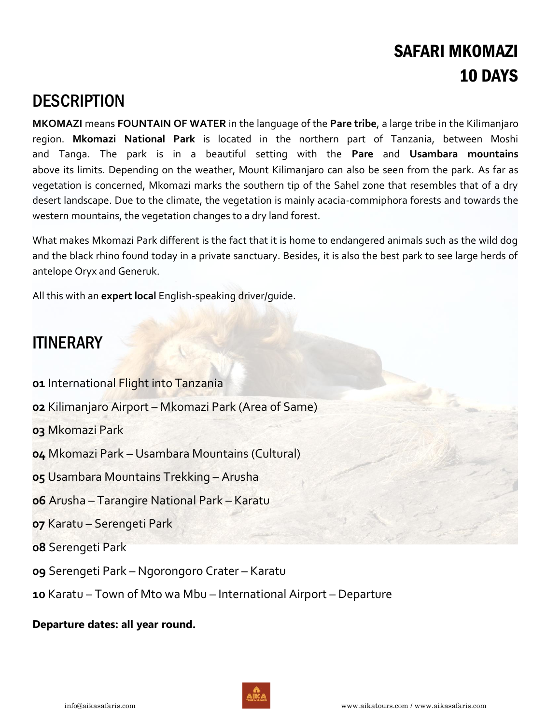# SAFARI MKOMAZI 10 DAYS

# **DESCRIPTION**

**MKOMAZI** means **FOUNTAIN OF WATER** in the language of the **Pare tribe**, a large tribe in the Kilimanjaro region. **Mkomazi National Park** is located in the northern part of Tanzania, between Moshi and Tanga. The park is in a beautiful setting with the **Pare** and **Usambara mountains** above its limits. Depending on the weather, Mount Kilimanjaro can also be seen from the park. As far as vegetation is concerned, Mkomazi marks the southern tip of the Sahel zone that resembles that of a dry desert landscape. Due to the climate, the vegetation is mainly acacia-commiphora forests and towards the western mountains, the vegetation changes to a dry land forest.

What makes Mkomazi Park different is the fact that it is home to endangered animals such as the wild dog and the black rhino found today in a private sanctuary. Besides, it is also the best park to see large herds of antelope Oryx and Generuk.

All this with an **expert local** English-speaking driver/guide.

# ITINERARY

- **01** International Flight into Tanzania
- **02** Kilimanjaro Airport Mkomazi Park (Area of Same)
- **03** Mkomazi Park
- **04** Mkomazi Park Usambara Mountains (Cultural)
- **05** Usambara Mountains Trekking Arusha
- **06** Arusha Tarangire National Park Karatu
- **07** Karatu Serengeti Park
- **08** Serengeti Park
- **09** Serengeti Park Ngorongoro Crater Karatu
- **10** Karatu Town of Mto wa Mbu International Airport Departure

# **Departure dates: all year round.**

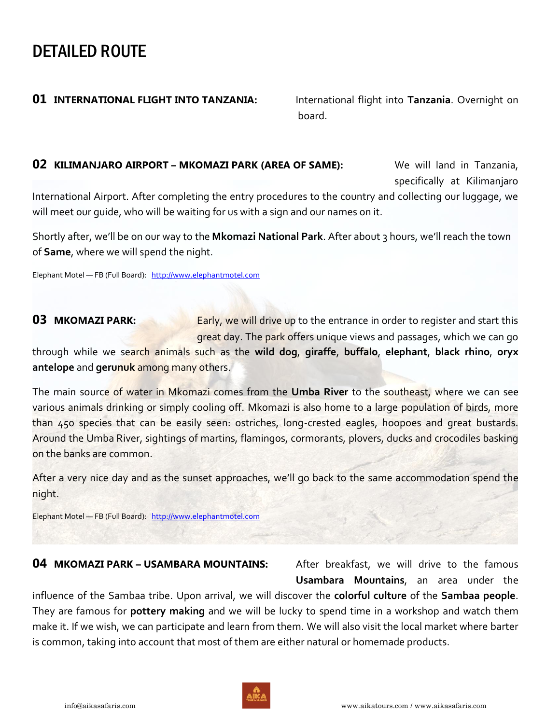# DETAILED ROUTE

# **01 INTERNATIONAL FLIGHT INTO TANZANIA:** International flight into Tanzania. Overnight on

board. The contract of the contract of the contract of the contract of the contract of the contract of the con

# **02 KILIMANJARO AIRPORT – MKOMAZI PARK (AREA OF SAME):** We will land in Tanzania,

specifically at Kilimanjaro

International Airport. After completing the entry procedures to the country and collecting our luggage, we will meet our guide, who will be waiting for us with a sign and our names on it.

Shortly after, we'll be on our way to the **Mkomazi National Park**. After about 3 hours, we'll reach the town of **Same**, where we will spend the night.

Elephant Motel — FB (Full Board): [http://www.elephantmotel.com](http://www.elephantmotel.com/)

**03 MKOMAZI PARK:** Early, we will drive up to the entrance in order to register and start this great day. The park offers unique views and passages, which we can go

through while we search animals such as the **wild dog**, **giraffe**, **buffalo**, **elephant**, **black rhino**, **oryx antelope** and **gerunuk** among many others.

The main source of water in Mkomazi comes from the **Umba River** to the southeast, where we can see various animals drinking or simply cooling off. Mkomazi is also home to a large population of birds, more than 450 species that can be easily seen: ostriches, long-crested eagles, hoopoes and great bustards. Around the Umba River, sightings of martins, flamingos, cormorants, plovers, ducks and crocodiles basking on the banks are common.

After a very nice day and as the sunset approaches, we'll go back to the same accommodation spend the night.

Elephant Motel — FB (Full Board): [http://www.elephantmotel.com](http://www.elephantmotel.com/)

## **04 MKOMAZI PARK – USAMBARA MOUNTAINS:** After breakfast, we will drive to the famous

**Usambara Mountains**, an area under the

influence of the Sambaa tribe. Upon arrival, we will discover the **colorful culture** of the **Sambaa people**. They are famous for **pottery making** and we will be lucky to spend time in a workshop and watch them make it. If we wish, we can participate and learn from them. We will also visit the local market where barter is common, taking into account that most of them are either natural or homemade products.

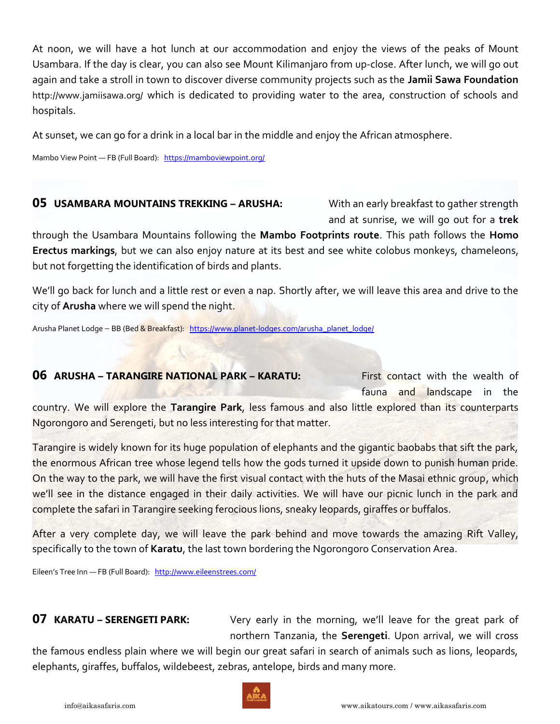At noon, we will have a hot lunch at our accommodation and enjoy the views of the peaks of Mount Usambara. If the day is clear, you can also see Mount Kilimanjaro from up-close. After lunch, we will go out again and take a stroll in town to discover diverse community projects such as the **Jamii Sawa Foundation** <http://www.jamiisawa.org/> which is dedicated to providing water to the area, construction of schools and hospitals.

At sunset, we can go for a drink in a local bar in the middle and enjoy the African atmosphere.

Mambo View Point — FB (Full Board): <https://mamboviewpoint.org/>

# **05 USAMBARA MOUNTAINS TREKKING – ARUSHA:** With an early breakfast to gather strength

and at sunrise, we will go out for a **trek**

through the Usambara Mountains following the **Mambo Footprints route**. This path follows the **Homo Erectus markings**, but we can also enjoy nature at its best and see white colobus monkeys, chameleons, but not forgetting the identification of birds and plants.

We'll go back for lunch and a little rest or even a nap. Shortly after, we will leave this area and drive to the city of **Arusha** where we will spend the night.

Arusha Planet Lodge - BB (Bed & Breakfast): [https://www.planet-lodges.com/arusha\\_planet\\_lodge/](https://www.planet-lodges.com/arusha_planet_lodge/)

# **06 ARUSHA – TARANGIRE NATIONAL PARK – KARATU:** First contact with the wealth of fauna and landscape in the country. We will explore the **Tarangire Park**, less famous and also little explored than its counterparts Ngorongoro and Serengeti, but no less interesting for that matter.

Tarangire is widely known for its huge population of elephants and the gigantic baobabs that sift the park, the enormous African tree whose legend tells how the gods turned it upside down to punish human pride. On the way to the park, we will have the first visual contact with the huts of the Masai ethnic group, which we'll see in the distance engaged in their daily activities. We will have our picnic lunch in the park and complete the safari in Tarangire seeking ferocious lions, sneaky leopards, giraffes or buffalos.

After a very complete day, we will leave the park behind and move towards the amazing Rift Valley, specifically to the town of **Karatu**, the last town bordering the Ngorongoro Conservation Area.

Eileen's Tree Inn — FB (Full Board): <http://www.eileenstrees.com/>

**07 KARATU – SERENGETI PARK:** Very early in the morning, we'll leave for the great park of northern Tanzania, the **Serengeti**. Upon arrival, we will cross

the famous endless plain where we will begin our great safari in search of animals such as lions, leopards, elephants, giraffes, buffalos, wildebeest, zebras, antelope, birds and many more.

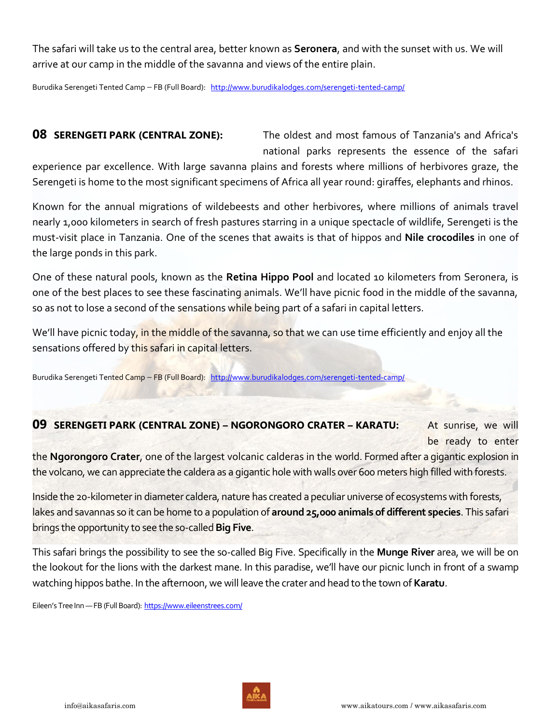The safari will take us to the central area, better known as **Seronera**, and with the sunset with us. We will arrive at our camp in the middle of the savanna and views of the entire plain.

Burudika Serengeti Tented Camp - FB (Full Board): <http://www.burudikalodges.com/serengeti-tented-camp/>

**08 SERENGETI PARK (CENTRAL ZONE):** The oldest and most famous of Tanzania's and Africa's national parks represents the essence of the safari

experience par excellence. With large savanna plains and forests where millions of herbivores graze, the Serengeti is home to the most significant specimens of Africa all year round: giraffes, elephants and rhinos.

Known for the annual migrations of wildebeests and other herbivores, where millions of animals travel nearly 1,000 kilometers in search of fresh pastures starring in a unique spectacle of wildlife, Serengeti is the must-visit place in Tanzania. One of the scenes that awaits is that of hippos and **Nile crocodiles** in one of the large ponds in this park.

One of these natural pools, known as the **Retina Hippo Pool** and located 10 kilometers from Seronera, is one of the best places to see these fascinating animals. We'll have picnic food in the middle of the savanna, so as not to lose a second of the sensations while being part of a safari in capital letters.

We'll have picnic today, in the middle of the savanna, so that we can use time efficiently and enjoy all the sensations offered by this safari in capital letters.

Burudika Serengeti Tented Camp - FB (Full Board): <http://www.burudikalodges.com/serengeti-tented-camp/>

## **09 SERENGETI PARK (CENTRAL ZONE) – NGORONGORO CRATER – KARATU:** At sunrise, we will

be ready to enter

the **Ngorongoro Crater**, one of the largest volcanic calderas in the world. Formed after a gigantic explosion in the volcano, we can appreciate the caldera as a gigantic hole with walls over 600 meters high filled with forests.

Inside the 20-kilometer in diameter caldera, nature has created a peculiar universe of ecosystems with forests, lakes and savannas so it can be home to a population of **around 25,000 animals of different species**. This safari brings the opportunity to see the so-called **Big Five**.

This safari brings the possibility to see the so-called Big Five. Specifically in the **Munge River** area, we will be on the lookout for the lions with the darkest mane. In this paradise, we'll have our picnic lunch in front of a swamp watching hippos bathe. In the afternoon, we will leave the crater and head to the town of **Karatu**.

Eileen's Tree Inn - FB (Full Board): <https://www.eileenstrees.com/>

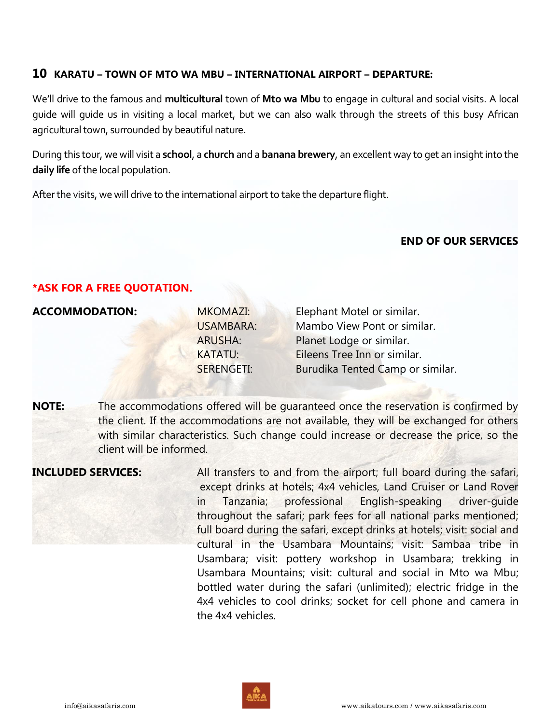# **10 KARATU – TOWN OF MTO WA MBU – INTERNATIONAL AIRPORT – DEPARTURE:**

We'll drive to the famous and **multicultural** town of **Mto wa Mbu** to engage in cultural and social visits. A local guide will guide us in visiting a local market, but we can also walk through the streets of this busy African agricultural town, surrounded by beautiful nature.

During this tour, we will visit a **school**, a **church** and a **banana brewery**, an excellent way to get an insight into the **daily life** of the local population.

After the visits, we will drive to the international airport to take the departure flight.

## **END OF OUR SERVICES**

## **\*ASK FOR A FREE QUOTATION.**

## **ACCOMMODATION:**

| <b>MKOMAZI:</b>   | Elephant Motel or similar.       |
|-------------------|----------------------------------|
| <b>USAMBARA:</b>  | Mambo View Pont or similar.      |
| <b>ARUSHA:</b>    | Planet Lodge or similar.         |
| <b>KATATU:</b>    | Eileens Tree Inn or similar.     |
| <b>SERENGETI:</b> | Burudika Tented Camp or similar. |
|                   |                                  |

**NOTE:** The accommodations offered will be guaranteed once the reservation is confirmed by the client. If the accommodations are not available, they will be exchanged for others with similar characteristics. Such change could increase or decrease the price, so the client will be informed.

**INCLUDED SERVICES:** All transfers to and from the airport; full board during the safari, except drinks at hotels; 4x4 vehicles, Land Cruiser or Land Rover in Tanzania; professional English-speaking driver-guide throughout the safari; park fees for all national parks mentioned; full board during the safari, except drinks at hotels; visit: social and cultural in the Usambara Mountains; visit: Sambaa tribe in Usambara; visit: pottery workshop in Usambara; trekking in Usambara Mountains; visit: cultural and social in Mto wa Mbu; bottled water during the safari (unlimited); electric fridge in the 4x4 vehicles to cool drinks; socket for cell phone and camera in the 4x4 vehicles.